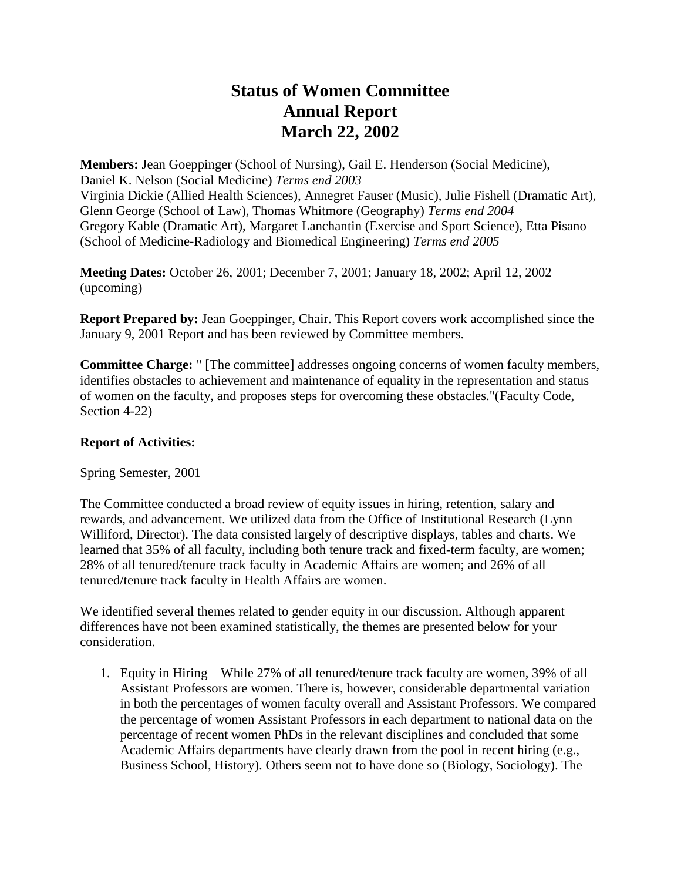# **Status of Women Committee Annual Report March 22, 2002**

**Members:** Jean Goeppinger (School of Nursing), Gail E. Henderson (Social Medicine), Daniel K. Nelson (Social Medicine) *Terms end 2003* Virginia Dickie (Allied Health Sciences), Annegret Fauser (Music), Julie Fishell (Dramatic Art), Glenn George (School of Law), Thomas Whitmore (Geography) *Terms end 2004* Gregory Kable (Dramatic Art), Margaret Lanchantin (Exercise and Sport Science), Etta Pisano (School of Medicine-Radiology and Biomedical Engineering) *Terms end 2005*

**Meeting Dates:** October 26, 2001; December 7, 2001; January 18, 2002; April 12, 2002 (upcoming)

**Report Prepared by:** Jean Goeppinger, Chair. This Report covers work accomplished since the January 9, 2001 Report and has been reviewed by Committee members.

**Committee Charge:** " [The committee] addresses ongoing concerns of women faculty members, identifies obstacles to achievement and maintenance of equality in the representation and status of women on the faculty, and proposes steps for overcoming these obstacles."(Faculty Code, Section 4-22)

### **Report of Activities:**

#### Spring Semester, 2001

The Committee conducted a broad review of equity issues in hiring, retention, salary and rewards, and advancement. We utilized data from the Office of Institutional Research (Lynn Williford, Director). The data consisted largely of descriptive displays, tables and charts. We learned that 35% of all faculty, including both tenure track and fixed-term faculty, are women; 28% of all tenured/tenure track faculty in Academic Affairs are women; and 26% of all tenured/tenure track faculty in Health Affairs are women.

We identified several themes related to gender equity in our discussion. Although apparent differences have not been examined statistically, the themes are presented below for your consideration.

1. Equity in Hiring – While 27% of all tenured/tenure track faculty are women, 39% of all Assistant Professors are women. There is, however, considerable departmental variation in both the percentages of women faculty overall and Assistant Professors. We compared the percentage of women Assistant Professors in each department to national data on the percentage of recent women PhDs in the relevant disciplines and concluded that some Academic Affairs departments have clearly drawn from the pool in recent hiring (e.g., Business School, History). Others seem not to have done so (Biology, Sociology). The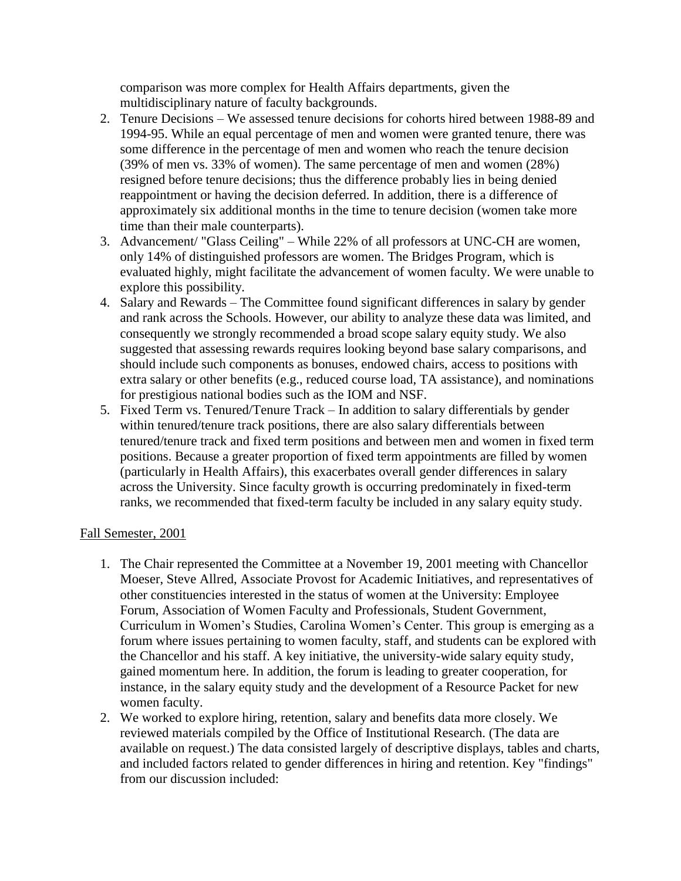comparison was more complex for Health Affairs departments, given the multidisciplinary nature of faculty backgrounds.

- 2. Tenure Decisions We assessed tenure decisions for cohorts hired between 1988-89 and 1994-95. While an equal percentage of men and women were granted tenure, there was some difference in the percentage of men and women who reach the tenure decision (39% of men vs. 33% of women). The same percentage of men and women (28%) resigned before tenure decisions; thus the difference probably lies in being denied reappointment or having the decision deferred. In addition, there is a difference of approximately six additional months in the time to tenure decision (women take more time than their male counterparts).
- 3. Advancement/ "Glass Ceiling" While 22% of all professors at UNC-CH are women, only 14% of distinguished professors are women. The Bridges Program, which is evaluated highly, might facilitate the advancement of women faculty. We were unable to explore this possibility.
- 4. Salary and Rewards The Committee found significant differences in salary by gender and rank across the Schools. However, our ability to analyze these data was limited, and consequently we strongly recommended a broad scope salary equity study. We also suggested that assessing rewards requires looking beyond base salary comparisons, and should include such components as bonuses, endowed chairs, access to positions with extra salary or other benefits (e.g., reduced course load, TA assistance), and nominations for prestigious national bodies such as the IOM and NSF.
- 5. Fixed Term vs. Tenured/Tenure Track In addition to salary differentials by gender within tenured/tenure track positions, there are also salary differentials between tenured/tenure track and fixed term positions and between men and women in fixed term positions. Because a greater proportion of fixed term appointments are filled by women (particularly in Health Affairs), this exacerbates overall gender differences in salary across the University. Since faculty growth is occurring predominately in fixed-term ranks, we recommended that fixed-term faculty be included in any salary equity study.

#### Fall Semester, 2001

- 1. The Chair represented the Committee at a November 19, 2001 meeting with Chancellor Moeser, Steve Allred, Associate Provost for Academic Initiatives, and representatives of other constituencies interested in the status of women at the University: Employee Forum, Association of Women Faculty and Professionals, Student Government, Curriculum in Women's Studies, Carolina Women's Center. This group is emerging as a forum where issues pertaining to women faculty, staff, and students can be explored with the Chancellor and his staff. A key initiative, the university-wide salary equity study, gained momentum here. In addition, the forum is leading to greater cooperation, for instance, in the salary equity study and the development of a Resource Packet for new women faculty.
- 2. We worked to explore hiring, retention, salary and benefits data more closely. We reviewed materials compiled by the Office of Institutional Research. (The data are available on request.) The data consisted largely of descriptive displays, tables and charts, and included factors related to gender differences in hiring and retention. Key "findings" from our discussion included: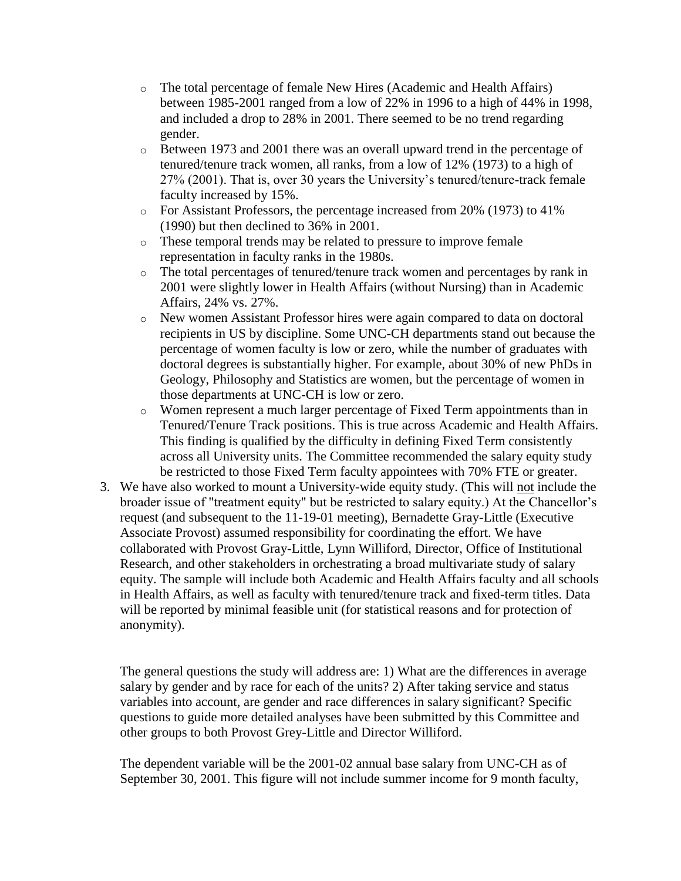- o The total percentage of female New Hires (Academic and Health Affairs) between 1985-2001 ranged from a low of 22% in 1996 to a high of 44% in 1998, and included a drop to 28% in 2001. There seemed to be no trend regarding gender.
- o Between 1973 and 2001 there was an overall upward trend in the percentage of tenured/tenure track women, all ranks, from a low of 12% (1973) to a high of 27% (2001). That is, over 30 years the University's tenured/tenure-track female faculty increased by 15%.
- o For Assistant Professors, the percentage increased from 20% (1973) to 41% (1990) but then declined to 36% in 2001.
- o These temporal trends may be related to pressure to improve female representation in faculty ranks in the 1980s.
- o The total percentages of tenured/tenure track women and percentages by rank in 2001 were slightly lower in Health Affairs (without Nursing) than in Academic Affairs, 24% vs. 27%.
- o New women Assistant Professor hires were again compared to data on doctoral recipients in US by discipline. Some UNC-CH departments stand out because the percentage of women faculty is low or zero, while the number of graduates with doctoral degrees is substantially higher. For example, about 30% of new PhDs in Geology, Philosophy and Statistics are women, but the percentage of women in those departments at UNC-CH is low or zero.
- o Women represent a much larger percentage of Fixed Term appointments than in Tenured/Tenure Track positions. This is true across Academic and Health Affairs. This finding is qualified by the difficulty in defining Fixed Term consistently across all University units. The Committee recommended the salary equity study be restricted to those Fixed Term faculty appointees with 70% FTE or greater.
- 3. We have also worked to mount a University-wide equity study. (This will not include the broader issue of "treatment equity" but be restricted to salary equity.) At the Chancellor's request (and subsequent to the 11-19-01 meeting), Bernadette Gray-Little (Executive Associate Provost) assumed responsibility for coordinating the effort. We have collaborated with Provost Gray-Little, Lynn Williford, Director, Office of Institutional Research, and other stakeholders in orchestrating a broad multivariate study of salary equity. The sample will include both Academic and Health Affairs faculty and all schools in Health Affairs, as well as faculty with tenured/tenure track and fixed-term titles. Data will be reported by minimal feasible unit (for statistical reasons and for protection of anonymity).

The general questions the study will address are: 1) What are the differences in average salary by gender and by race for each of the units? 2) After taking service and status variables into account, are gender and race differences in salary significant? Specific questions to guide more detailed analyses have been submitted by this Committee and other groups to both Provost Grey-Little and Director Williford.

The dependent variable will be the 2001-02 annual base salary from UNC-CH as of September 30, 2001. This figure will not include summer income for 9 month faculty,